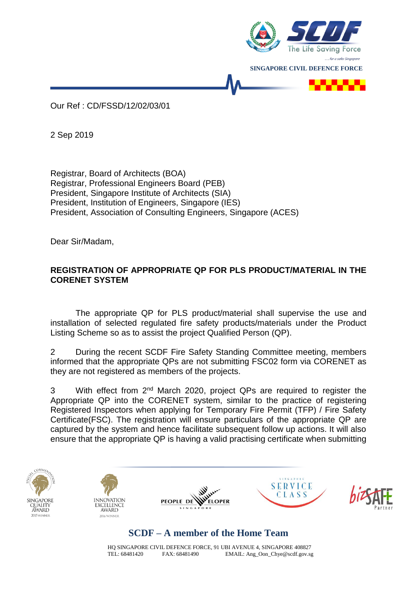

Our Ref : CD/FSSD/12/02/03/01

2 Sep 2019

Registrar, Board of Architects (BOA) Registrar, Professional Engineers Board (PEB) President, Singapore Institute of Architects (SIA) President, Institution of Engineers, Singapore (IES) President, Association of Consulting Engineers, Singapore (ACES)

Dear Sir/Madam,

## **REGISTRATION OF APPROPRIATE QP FOR PLS PRODUCT/MATERIAL IN THE CORENET SYSTEM**

The appropriate QP for PLS product/material shall supervise the use and installation of selected regulated fire safety products/materials under the Product Listing Scheme so as to assist the project Qualified Person (QP).

2 During the recent SCDF Fire Safety Standing Committee meeting, members informed that the appropriate QPs are not submitting FSC02 form via CORENET as they are not registered as members of the projects.

3 With effect from 2<sup>nd</sup> March 2020, project QPs are required to register the Appropriate QP into the CORENET system, similar to the practice of registering Registered Inspectors when applying for Temporary Fire Permit (TFP) / Fire Safety Certificate(FSC). The registration will ensure particulars of the appropriate QP are captured by the system and hence facilitate subsequent follow up actions. It will also ensure that the appropriate QP is having a valid practising certificate when submitting











## **SCDF – A member of the Home Team**